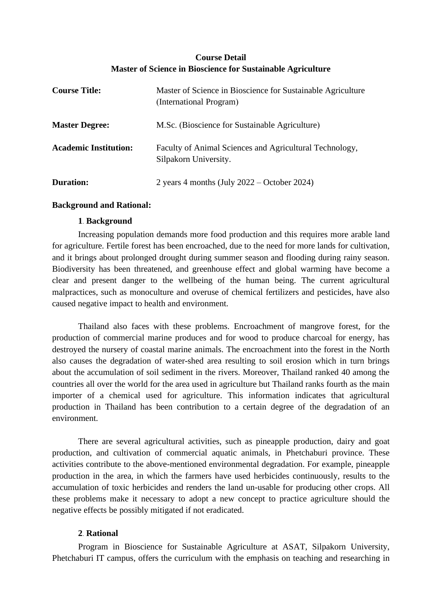# **Course Detail Master of Science in Bioscience for Sustainable Agriculture**

| <b>Course Title:</b>         | Master of Science in Bioscience for Sustainable Agriculture<br>(International Program) |
|------------------------------|----------------------------------------------------------------------------------------|
| <b>Master Degree:</b>        | M.Sc. (Bioscience for Sustainable Agriculture)                                         |
| <b>Academic Institution:</b> | Faculty of Animal Sciences and Agricultural Technology,<br>Silpakorn University.       |
| <b>Duration:</b>             | 2 years 4 months (July $2022 -$ October 2024)                                          |

## **Background and Rational:**

### **1. Background**

Increasing population demands more food production and this requires more arable land for agriculture. Fertile forest has been encroached, due to the need for more lands for cultivation, and it brings about prolonged drought during summer season and flooding during rainy season. Biodiversity has been threatened, and greenhouse effect and global warming have become a clear and present danger to the wellbeing of the human being. The current agricultural malpractices, such as monoculture and overuse of chemical fertilizers and pesticides, have also caused negative impact to health and environment.

Thailand also faces with these problems. Encroachment of mangrove forest, for the production of commercial marine produces and for wood to produce charcoal for energy, has destroyed the nursery of coastal marine animals. The encroachment into the forest in the North also causes the degradation of water-shed area resulting to soil erosion which in turn brings about the accumulation of soil sediment in the rivers. Moreover, Thailand ranked 40 among the countries all over the world for the area used in agriculture but Thailand ranks fourth as the main importer of a chemical used for agriculture. This information indicates that agricultural production in Thailand has been contribution to a certain degree of the degradation of an environment.

There are several agricultural activities, such as pineapple production, dairy and goat production, and cultivation of commercial aquatic animals, in Phetchaburi province. These activities contribute to the above-mentioned environmental degradation. For example, pineapple production in the area, in which the farmers have used herbicides continuously, results to the accumulation of toxic herbicides and renders the land un-usable for producing other crops. All these problems make it necessary to adopt a new concept to practice agriculture should the negative effects be possibly mitigated if not eradicated.

# **2. Rational**

Program in Bioscience for Sustainable Agriculture at ASAT, Silpakorn University, Phetchaburi IT campus, offers the curriculum with the emphasis on teaching and researching in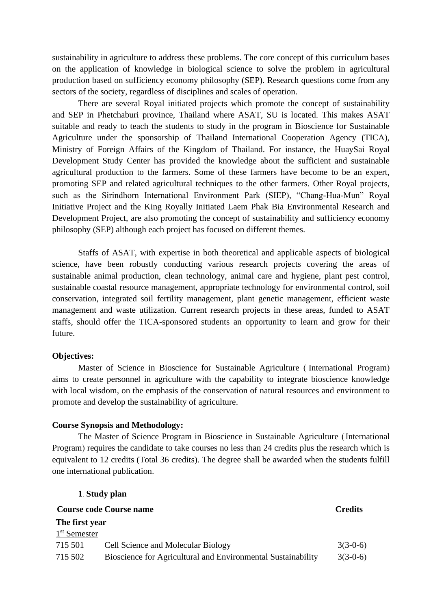sustainability in agriculture to address these problems. The core concept of this curriculum bases on the application of knowledge in biological science to solve the problem in agricultural production based on sufficiency economy philosophy (SEP). Research questions come from any sectors of the society, regardless of disciplines and scales of operation.

There are several Royal initiated projects which promote the concept of sustainability and SEP in Phetchaburi province, Thailand where ASAT, SU is located. This makes ASAT suitable and ready to teach the students to study in the program in Bioscience for Sustainable Agriculture under the sponsorship of Thailand International Cooperation Agency (TICA), Ministry of Foreign Affairs of the Kingdom of Thailand. For instance, the HuaySai Royal Development Study Center has provided the knowledge about the sufficient and sustainable agricultural production to the farmers. Some of these farmers have become to be an expert, promoting SEP and related agricultural techniques to the other farmers. Other Royal projects, such as the Sirindhorn International Environment Park (SIEP), "Chang-Hua-Mun" Royal Initiative Project and the King Royally Initiated Laem Phak Bia Environmental Research and Development Project, are also promoting the concept of sustainability and sufficiency economy philosophy (SEP) although each project has focused on different themes.

Staffs of ASAT, with expertise in both theoretical and applicable aspects of biological science, have been robustly conducting various research projects covering the areas of sustainable animal production, clean technology, animal care and hygiene, plant pest control, sustainable coastal resource management, appropriate technology for environmental control, soil conservation, integrated soil fertility management, plant genetic management, efficient waste management and waste utilization. Current research projects in these areas, funded to ASAT staffs, should offer the TICA-sponsored students an opportunity to learn and grow for their future.

#### **Objectives:**

Master of Science in Bioscience for Sustainable Agriculture ( International Program) aims to create personnel in agriculture with the capability to integrate bioscience knowledge with local wisdom, on the emphasis of the conservation of natural resources and environment to promote and develop the sustainability of agriculture.

#### **Course Synopsis and Methodology:**

**1. Study plan**

The Master of Science Program in Bioscience in Sustainable Agriculture (International Program) requires the candidate to take courses no less than 24 credits plus the research which is equivalent to 12 credits (Total 36 credits). The degree shall be awarded when the students fulfill one international publication.

|                                | 1. Study plan                                                |                |  |
|--------------------------------|--------------------------------------------------------------|----------------|--|
| <b>Course code Course name</b> |                                                              | <b>Credits</b> |  |
| The first year                 |                                                              |                |  |
| 1 <sup>st</sup> Semester       |                                                              |                |  |
| 715 501                        | Cell Science and Molecular Biology                           | $3(3-0-6)$     |  |
| 715 502                        | Bioscience for Agricultural and Environmental Sustainability | $3(3-0-6)$     |  |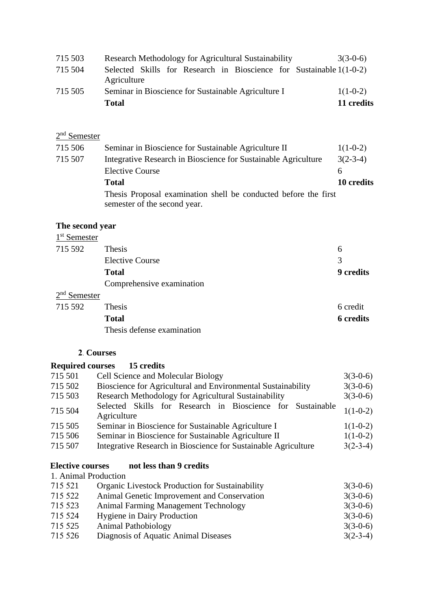| 715 503 | Research Methodology for Agricultural Sustainability                               | $3(3-0-6)$ |
|---------|------------------------------------------------------------------------------------|------------|
| 715 504 | Selected Skills for Research in Bioscience for Sustainable 1(1-0-2)<br>Agriculture |            |
| 715 505 | Seminar in Bioscience for Sustainable Agriculture I                                | $1(1-0-2)$ |
|         | <b>Total</b>                                                                       | 11 credits |

## 2<sup>nd</sup> Semester

| 715 506 | Seminar in Bioscience for Sustainable Agriculture II                                            | $1(1-0-2)$ |
|---------|-------------------------------------------------------------------------------------------------|------------|
| 715 507 | Integrative Research in Bioscience for Sustainable Agriculture                                  | $3(2-3-4)$ |
|         | <b>Elective Course</b>                                                                          |            |
|         | <b>Total</b>                                                                                    | 10 credits |
|         | Thesis Proposal examination shell be conducted before the first<br>semester of the second year. |            |

### **The second year**

| 1 <sup>st</sup> Semester |                            |                  |
|--------------------------|----------------------------|------------------|
| 715 592                  | Thesis                     | 6                |
|                          | <b>Elective Course</b>     | 3                |
|                          | <b>Total</b>               | <b>9</b> credits |
|                          | Comprehensive examination  |                  |
| $2nd$ Semester           |                            |                  |
| 715 592                  | Thesis                     | 6 credit         |
|                          | <b>Total</b>               | <b>6</b> credits |
|                          | Thesis defense examination |                  |

# **2. Courses**

### **Required courses 15 credits**

| 715 501 | <b>Cell Science and Molecular Biology</b>                                 | $3(3-0-6)$ |
|---------|---------------------------------------------------------------------------|------------|
| 715 502 | Bioscience for Agricultural and Environmental Sustainability              | $3(3-0-6)$ |
| 715 503 | Research Methodology for Agricultural Sustainability                      | $3(3-0-6)$ |
| 715 504 | Selected Skills for Research in Bioscience for Sustainable<br>Agriculture | $1(1-0-2)$ |
| 715 505 | Seminar in Bioscience for Sustainable Agriculture I                       | $1(1-0-2)$ |
| 715 506 | Seminar in Bioscience for Sustainable Agriculture II                      | $1(1-0-2)$ |
| 715 507 | Integrative Research in Bioscience for Sustainable Agriculture            | $3(2-3-4)$ |
|         |                                                                           |            |

#### **Elective courses not less than 9 credits**

| 1. Animal Production                        |                                                                                              |  |  |
|---------------------------------------------|----------------------------------------------------------------------------------------------|--|--|
|                                             | $3(3-0-6)$                                                                                   |  |  |
| Animal Genetic Improvement and Conservation | $3(3-0-6)$                                                                                   |  |  |
| Animal Farming Management Technology        | $3(3-0-6)$                                                                                   |  |  |
|                                             | $3(3-0-6)$                                                                                   |  |  |
| <b>Animal Pathobiology</b>                  | $3(3-0-6)$                                                                                   |  |  |
| Diagnosis of Aquatic Animal Diseases        | $3(2-3-4)$                                                                                   |  |  |
|                                             | <b>Organic Livestock Production for Sustainability</b><br><b>Hygiene in Dairy Production</b> |  |  |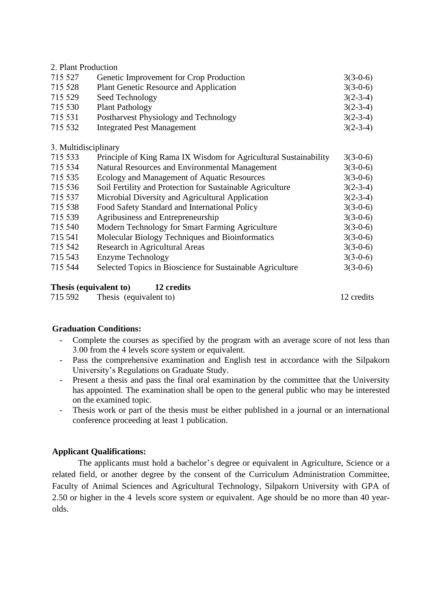## 2. Plant Production

| 715 527 | Genetic Improvement for Crop Production | $3(3-0-6)$ |
|---------|-----------------------------------------|------------|
| 715 528 | Plant Genetic Resource and Application  | $3(3-0-6)$ |
| 715 529 | Seed Technology                         | $3(2-3-4)$ |
| 715 530 | <b>Plant Pathology</b>                  | $3(2-3-4)$ |
| 715 531 | Postharvest Physiology and Technology   | $3(2-3-4)$ |
| 715 532 | <b>Integrated Pest Management</b>       | $3(2-3-4)$ |
|         |                                         |            |

3. Multidisciplinary

| 715 533 | Principle of King Rama IX Wisdom for Agricultural Sustainability | $3(3-0-6)$ |
|---------|------------------------------------------------------------------|------------|
| 715 534 | Natural Resources and Environmental Management                   | $3(3-0-6)$ |
| 715 535 | Ecology and Management of Aquatic Resources                      | $3(3-0-6)$ |
| 715 536 | Soil Fertility and Protection for Sustainable Agriculture        | $3(2-3-4)$ |
| 715 537 | Microbial Diversity and Agricultural Application                 | $3(2-3-4)$ |
| 715 538 | Food Safety Standard and International Policy                    | $3(3-0-6)$ |
| 715 539 | Agribusiness and Entrepreneurship                                | $3(3-0-6)$ |
| 715 540 | Modern Technology for Smart Farming Agriculture                  | $3(3-0-6)$ |
| 715 541 | Molecular Biology Techniques and Bioinformatics                  | $3(3-0-6)$ |
| 715 542 | Research in Agricultural Areas                                   | $3(3-0-6)$ |
| 715 543 | Enzyme Technology                                                | $3(3-0-6)$ |
| 715 544 | Selected Topics in Bioscience for Sustainable Agriculture        | $3(3-0-6)$ |
|         |                                                                  |            |
|         |                                                                  |            |

# **Thesis (equivalent to) 12 credits**

715 592 Thesis (equivalent to) 12 credits

# **Graduation Conditions:**

- Complete the courses as specified by the program with an average score of not less than 3.00 from the 4 levels score system or equivalent.
- Pass the comprehensive examination and English test in accordance with the Silpakorn University's Regulations on Graduate Study.
- Present a thesis and pass the final oral examination by the committee that the University has appointed. The examination shall be open to the general public who may be interested on the examined topic.
- Thesis work or part of the thesis must be either published in a journal or an international conference proceeding at least 1 publication.

# **Applicant Qualifications:**

The applicants must hold a bachelor's degree or equivalent in Agriculture, Science or a related field, or another degree by the consent of the Curriculum Administration Committee, Faculty of Animal Sciences and Agricultural Technology, Silpakorn University with GPA of 2.50 or higher in the 4 levels score system or equivalent. Age should be no more than 40 yearolds.